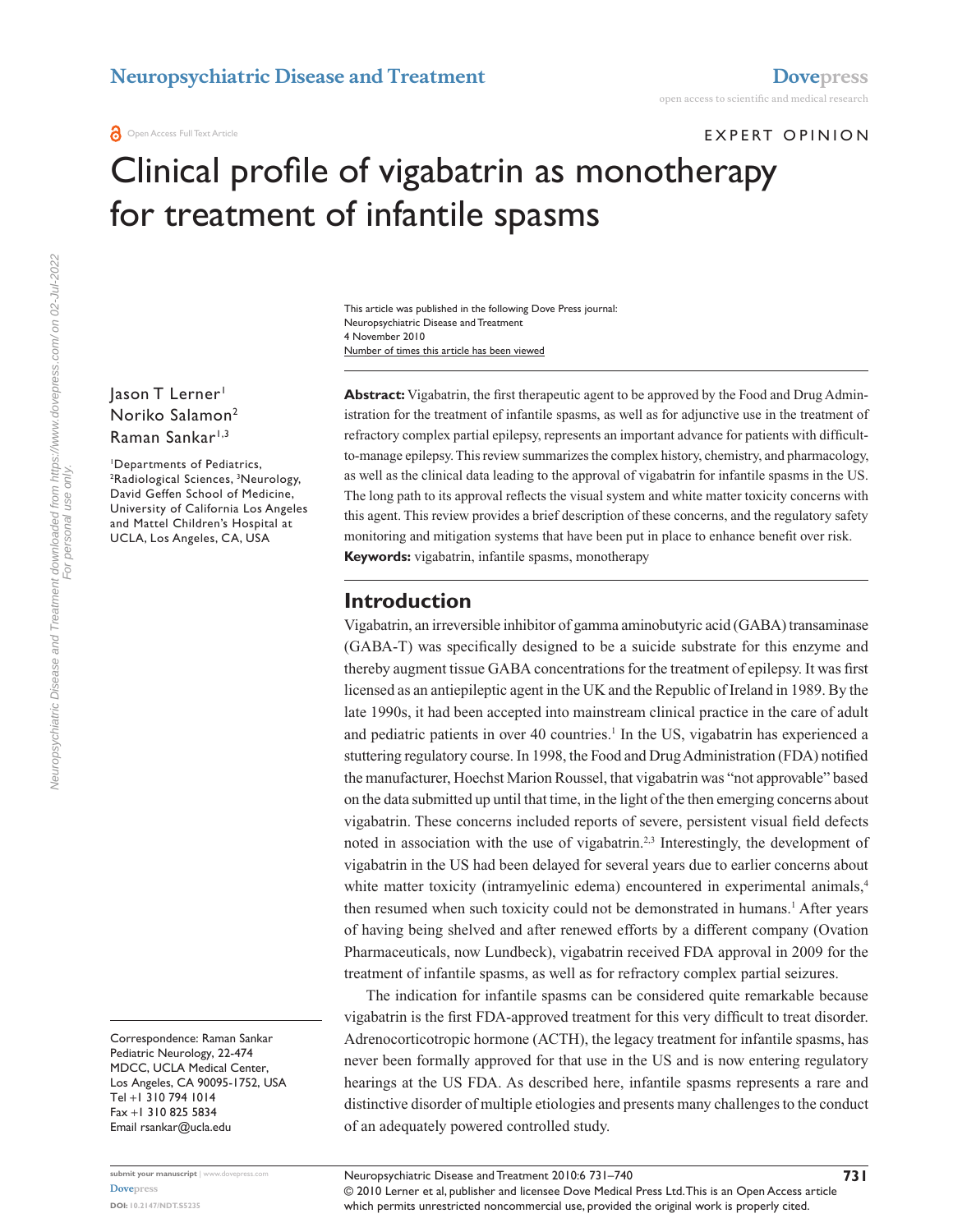EXPERT OPINION

# Clinical profile of vigabatrin as monotherapy for treatment of infantile spasms

Number of times this article has been viewed This article was published in the following Dove Press journal: Neuropsychiatric Disease and Treatment 4 November 2010

Jason T Lerner<sup>1</sup> Noriko Salamon2 Raman Sankar<sup>1,3</sup>

1 Departments of Pediatrics, <sup>2</sup>Radiological Sciences, <sup>3</sup>Neurology, David Geffen School of Medicine, University of California Los Angeles and Mattel Children's Hospital at UCLA, Los Angeles, CA, USA

Correspondence: Raman Sankar Pediatric Neurology, 22-474 MDCC, UCLA Medical Center, Los Angeles, CA 90095-1752, USA Tel +1 310 794 1014 Fax +1 310 825 5834 Email [rsankar@ucla.edu](mailto:rsankar@ucla.edu)

**submit your manuscript** | <www.dovepress.com> **[Dovepress](www.dovepress.com) DOI: 10.2147/NDT.S5235**

**Abstract:** Vigabatrin, the first therapeutic agent to be approved by the Food and Drug Administration for the treatment of infantile spasms, as well as for adjunctive use in the treatment of refractory complex partial epilepsy, represents an important advance for patients with difficultto-manage epilepsy. This review summarizes the complex history, chemistry, and pharmacology, as well as the clinical data leading to the approval of vigabatrin for infantile spasms in the US. The long path to its approval reflects the visual system and white matter toxicity concerns with this agent. This review provides a brief description of these concerns, and the regulatory safety monitoring and mitigation systems that have been put in place to enhance benefit over risk. **Keywords:** vigabatrin, infantile spasms, monotherapy

#### **Introduction**

Vigabatrin, an irreversible inhibitor of gamma aminobutyric acid (GABA) transaminase (GABA-T) was specifically designed to be a suicide substrate for this enzyme and thereby augment tissue GABA concentrations for the treatment of epilepsy. It was first licensed as an antiepileptic agent in the UK and the Republic of Ireland in 1989. By the late 1990s, it had been accepted into mainstream clinical practice in the care of adult and pediatric patients in over 40 countries.<sup>1</sup> In the US, vigabatrin has experienced a stuttering regulatory course. In 1998, the Food and Drug Administration (FDA) notified the manufacturer, Hoechst Marion Roussel, that vigabatrin was "not approvable" based on the data submitted up until that time, in the light of the then emerging concerns about vigabatrin. These concerns included reports of severe, persistent visual field defects noted in association with the use of vigabatrin.2,3 Interestingly, the development of vigabatrin in the US had been delayed for several years due to earlier concerns about white matter toxicity (intramyelinic edema) encountered in experimental animals,<sup>4</sup> then resumed when such toxicity could not be demonstrated in humans.<sup>1</sup> After years of having being shelved and after renewed efforts by a different company (Ovation Pharmaceuticals, now Lundbeck), vigabatrin received FDA approval in 2009 for the treatment of infantile spasms, as well as for refractory complex partial seizures.

The indication for infantile spasms can be considered quite remarkable because vigabatrin is the first FDA-approved treatment for this very difficult to treat disorder. Adrenocorticotropic hormone (ACTH), the legacy treatment for infantile spasms, has never been formally approved for that use in the US and is now entering regulatory hearings at the US FDA. As described here, infantile spasms represents a rare and distinctive disorder of multiple etiologies and presents many challenges to the conduct of an adequately powered controlled study.

Neuropsychiatric Disease and Treatment downloaded from https://www.dovepress.com/ on 02-Jul-2022 For personal use only.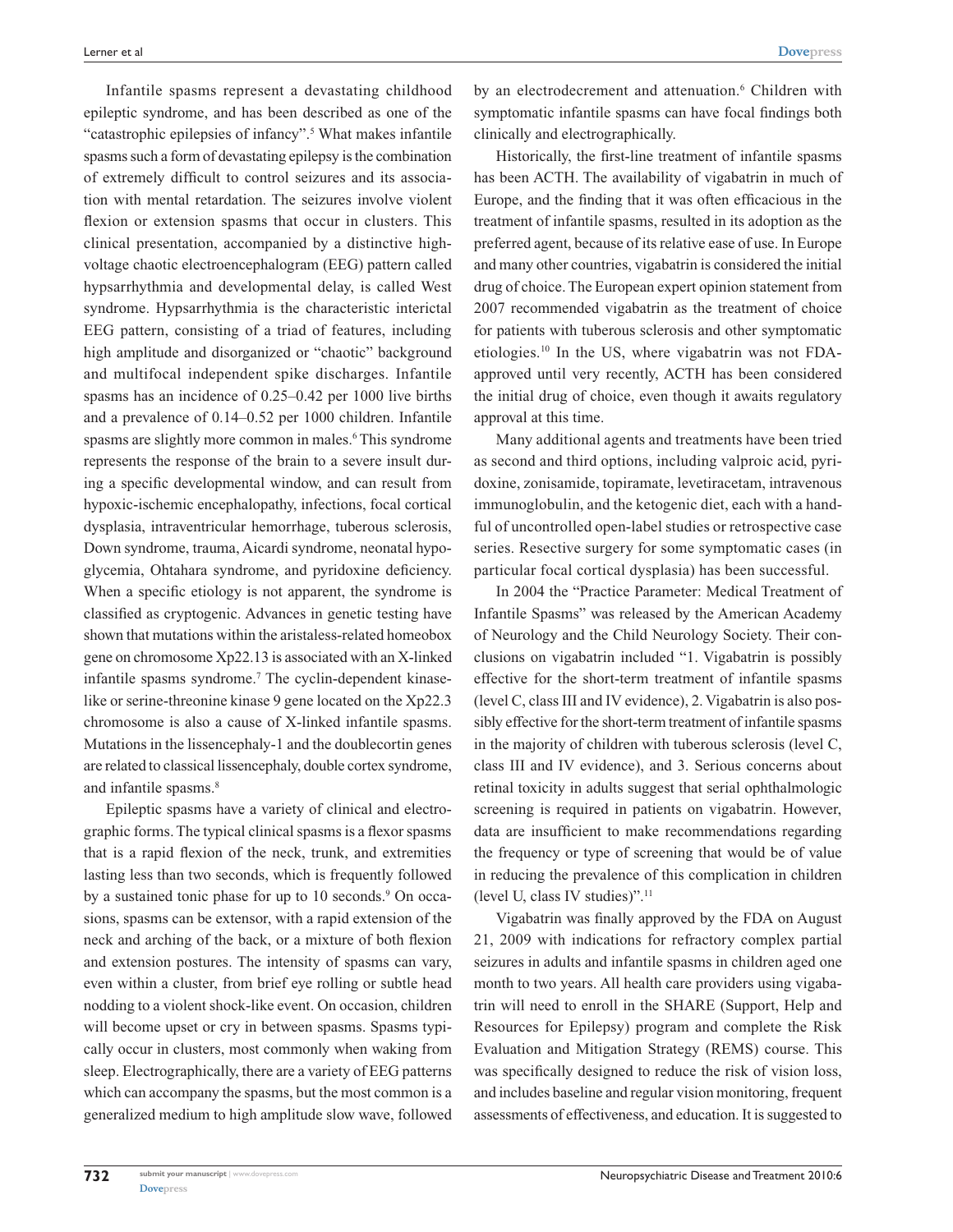Infantile spasms represent a devastating childhood epileptic syndrome, and has been described as one of the "catastrophic epilepsies of infancy".<sup>5</sup> What makes infantile spasms such a form of devastating epilepsy is the combination of extremely difficult to control seizures and its association with mental retardation. The seizures involve violent flexion or extension spasms that occur in clusters. This clinical presentation, accompanied by a distinctive highvoltage chaotic electroencephalogram (EEG) pattern called hypsarrhythmia and developmental delay, is called West syndrome. Hypsarrhythmia is the characteristic interictal EEG pattern, consisting of a triad of features, including high amplitude and disorganized or "chaotic" background and multifocal independent spike discharges. Infantile spasms has an incidence of 0.25–0.42 per 1000 live births and a prevalence of 0.14–0.52 per 1000 children. Infantile spasms are slightly more common in males.<sup>6</sup> This syndrome represents the response of the brain to a severe insult during a specific developmental window, and can result from hypoxic-ischemic encephalopathy, infections, focal cortical dysplasia, intraventricular hemorrhage, tuberous sclerosis, Down syndrome, trauma, Aicardi syndrome, neonatal hypoglycemia, Ohtahara syndrome, and pyridoxine deficiency. When a specific etiology is not apparent, the syndrome is classified as cryptogenic. Advances in genetic testing have shown that mutations within the aristaless-related homeobox gene on chromosome Xp22.13 is associated with an X-linked infantile spasms syndrome.<sup>7</sup> The cyclin-dependent kinaselike or serine-threonine kinase 9 gene located on the Xp22.3 chromosome is also a cause of X-linked infantile spasms. Mutations in the lissencephaly-1 and the doublecortin genes are related to classical lissencephaly, double cortex syndrome, and infantile spasms.<sup>8</sup>

Epileptic spasms have a variety of clinical and electrographic forms. The typical clinical spasms is a flexor spasms that is a rapid flexion of the neck, trunk, and extremities lasting less than two seconds, which is frequently followed by a sustained tonic phase for up to 10 seconds.<sup>9</sup> On occasions, spasms can be extensor, with a rapid extension of the neck and arching of the back, or a mixture of both flexion and extension postures. The intensity of spasms can vary, even within a cluster, from brief eye rolling or subtle head nodding to a violent shock-like event. On occasion, children will become upset or cry in between spasms. Spasms typically occur in clusters, most commonly when waking from sleep. Electrographically, there are a variety of EEG patterns which can accompany the spasms, but the most common is a generalized medium to high amplitude slow wave, followed

by an electrodecrement and attenuation.<sup>6</sup> Children with symptomatic infantile spasms can have focal findings both clinically and electrographically.

Historically, the first-line treatment of infantile spasms has been ACTH. The availability of vigabatrin in much of Europe, and the finding that it was often efficacious in the treatment of infantile spasms, resulted in its adoption as the preferred agent, because of its relative ease of use. In Europe and many other countries, vigabatrin is considered the initial drug of choice. The European expert opinion statement from 2007 recommended vigabatrin as the treatment of choice for patients with tuberous sclerosis and other symptomatic etiologies.10 In the US, where vigabatrin was not FDAapproved until very recently, ACTH has been considered the initial drug of choice, even though it awaits regulatory approval at this time.

Many additional agents and treatments have been tried as second and third options, including valproic acid, pyridoxine, zonisamide, topiramate, levetiracetam, intravenous immunoglobulin, and the ketogenic diet, each with a handful of uncontrolled open-label studies or retrospective case series. Resective surgery for some symptomatic cases (in particular focal cortical dysplasia) has been successful.

In 2004 the "Practice Parameter: Medical Treatment of Infantile Spasms" was released by the American Academy of Neurology and the Child Neurology Society. Their conclusions on vigabatrin included "1. Vigabatrin is possibly effective for the short-term treatment of infantile spasms (level C, class III and IV evidence), 2. Vigabatrin is also possibly effective for the short-term treatment of infantile spasms in the majority of children with tuberous sclerosis (level C, class III and IV evidence), and 3. Serious concerns about retinal toxicity in adults suggest that serial ophthalmologic screening is required in patients on vigabatrin. However, data are insufficient to make recommendations regarding the frequency or type of screening that would be of value in reducing the prevalence of this complication in children (level U, class IV studies)".11

Vigabatrin was finally approved by the FDA on August 21, 2009 with indications for refractory complex partial seizures in adults and infantile spasms in children aged one month to two years. All health care providers using vigabatrin will need to enroll in the SHARE (Support, Help and Resources for Epilepsy) program and complete the Risk Evaluation and Mitigation Strategy (REMS) course. This was specifically designed to reduce the risk of vision loss, and includes baseline and regular vision monitoring, frequent assessments of effectiveness, and education. It is suggested to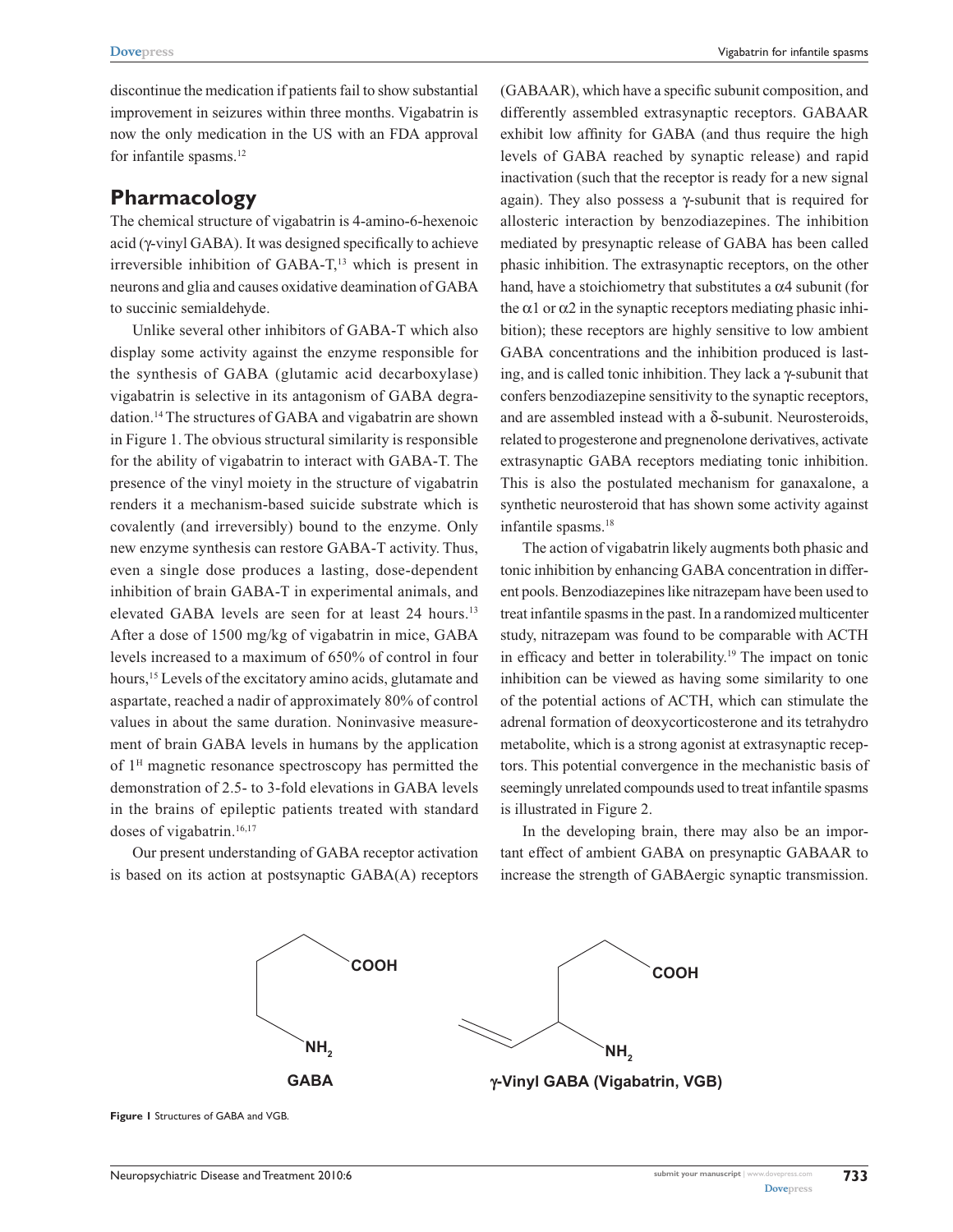discontinue the medication if patients fail to show substantial improvement in seizures within three months. Vigabatrin is now the only medication in the US with an FDA approval for infantile spasms.<sup>12</sup>

#### **Pharmacology**

The chemical structure of vigabatrin is 4-amino-6-hexenoic acid (γ-vinyl GABA). It was designed specifically to achieve irreversible inhibition of GABA-T,<sup>13</sup> which is present in neurons and glia and causes oxidative deamination of GABA to succinic semialdehyde.

Unlike several other inhibitors of GABA-T which also display some activity against the enzyme responsible for the synthesis of GABA (glutamic acid decarboxylase) vigabatrin is selective in its antagonism of GABA degradation.14 The structures of GABA and vigabatrin are shown in Figure 1. The obvious structural similarity is responsible for the ability of vigabatrin to interact with GABA-T. The presence of the vinyl moiety in the structure of vigabatrin renders it a mechanism-based suicide substrate which is covalently (and irreversibly) bound to the enzyme. Only new enzyme synthesis can restore GABA-T activity. Thus, even a single dose produces a lasting, dose-dependent inhibition of brain GABA-T in experimental animals, and elevated GABA levels are seen for at least 24 hours.<sup>13</sup> After a dose of 1500 mg/kg of vigabatrin in mice, GABA levels increased to a maximum of 650% of control in four hours,<sup>15</sup> Levels of the excitatory amino acids, glutamate and aspartate, reached a nadir of approximately 80% of control values in about the same duration. Noninvasive measurement of brain GABA levels in humans by the application of 1H magnetic resonance spectroscopy has permitted the demonstration of 2.5- to 3-fold elevations in GABA levels in the brains of epileptic patients treated with standard doses of vigabatrin.<sup>16,17</sup>

Our present understanding of GABA receptor activation is based on its action at postsynaptic GABA(A) receptors (GABAAR), which have a specific subunit composition, and differently assembled extrasynaptic receptors. GABAAR exhibit low affinity for GABA (and thus require the high levels of GABA reached by synaptic release) and rapid inactivation (such that the receptor is ready for a new signal again). They also possess a γ-subunit that is required for allosteric interaction by benzodiazepines. The inhibition mediated by presynaptic release of GABA has been called phasic inhibition. The extrasynaptic receptors, on the other hand, have a stoichiometry that substitutes a  $\alpha$ 4 subunit (for the  $\alpha$ 1 or  $\alpha$ 2 in the synaptic receptors mediating phasic inhibition); these receptors are highly sensitive to low ambient GABA concentrations and the inhibition produced is lasting, and is called tonic inhibition. They lack a γ-subunit that confers benzodiazepine sensitivity to the synaptic receptors, and are assembled instead with a  $\delta$ -subunit. Neurosteroids, related to progesterone and pregnenolone derivatives, activate extrasynaptic GABA receptors mediating tonic inhibition. This is also the postulated mechanism for ganaxalone, a synthetic neurosteroid that has shown some activity against infantile spasms.<sup>18</sup>

The action of vigabatrin likely augments both phasic and tonic inhibition by enhancing GABA concentration in different pools. Benzodiazepines like nitrazepam have been used to treat infantile spasms in the past. In a randomized multicenter study, nitrazepam was found to be comparable with ACTH in efficacy and better in tolerability.<sup>19</sup> The impact on tonic inhibition can be viewed as having some similarity to one of the potential actions of ACTH, which can stimulate the adrenal formation of deoxycorticosterone and its tetrahydro metabolite, which is a strong agonist at extrasynaptic receptors. This potential convergence in the mechanistic basis of seemingly unrelated compounds used to treat infantile spasms is illustrated in Figure 2.

In the developing brain, there may also be an important effect of ambient GABA on presynaptic GABAAR to increase the strength of GABAergic synaptic transmission.



**Figure 1** Structures of GABA and VGB.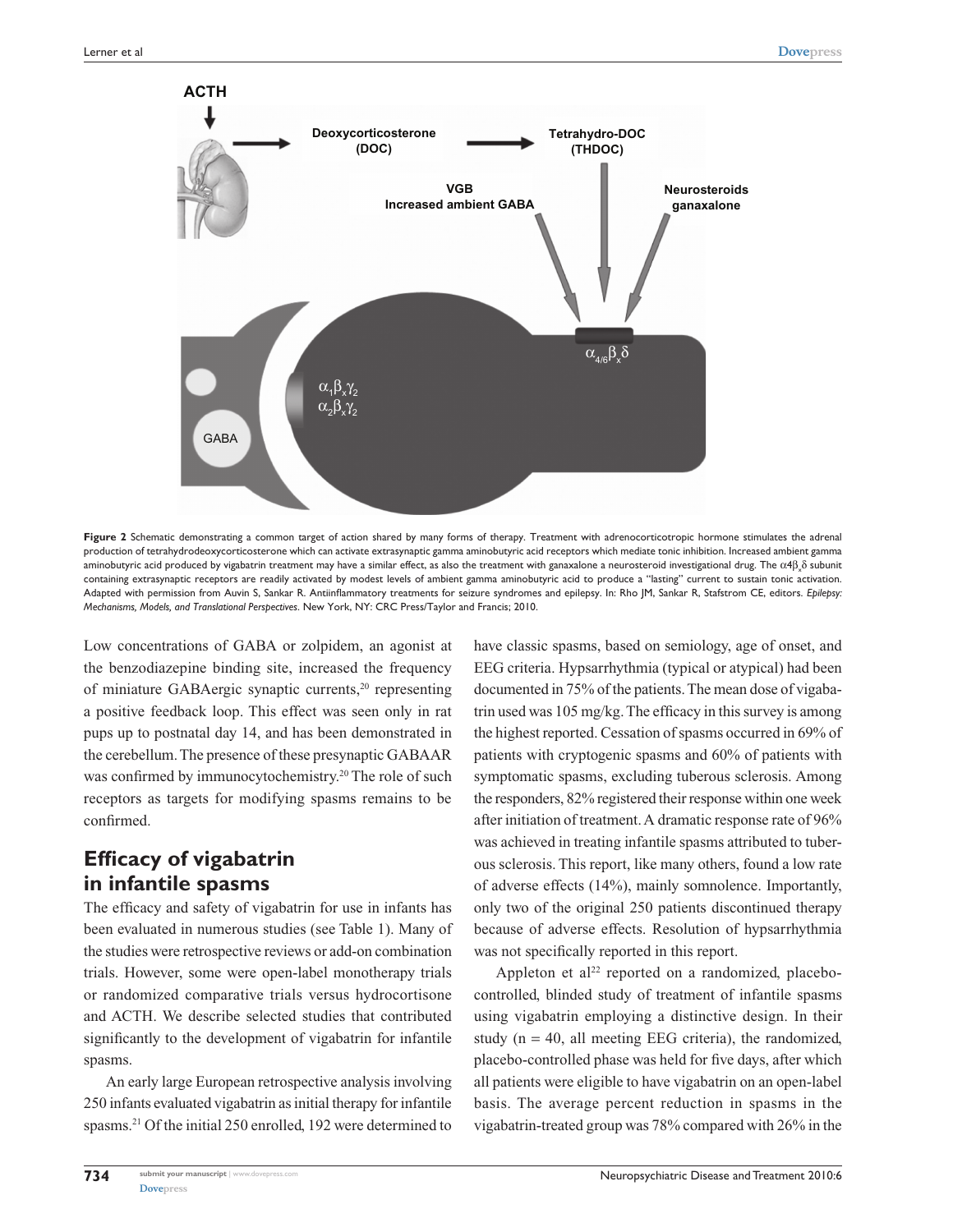

Figure 2 Schematic demonstrating a common target of action shared by many forms of therapy. Treatment with adrenocorticotropic hormone stimulates the adrenal production of tetrahydrodeoxycorticosterone which can activate extrasynaptic gamma aminobutyric acid receptors which mediate tonic inhibition. Increased ambient gamma aminobutyric acid produced by vigabatrin treatment may have a similar effect, as also the treatment with ganaxalone a neurosteroid investigational drug. The  $\alpha$ 4β $_{\lambda}$ δ subunit containing extrasynaptic receptors are readily activated by modest levels of ambient gamma aminobutyric acid to produce a "lasting" current to sustain tonic activation. Adapted with permission from Auvin S, Sankar R. Antiinflammatory treatments for seizure syndromes and epilepsy. In: Rho JM, Sankar R, Stafstrom CE, editors. *Epilepsy: Mechanisms, Models, and Translational Perspectives*. New York, NY: CRC Press/Taylor and Francis; 2010.

Low concentrations of GABA or zolpidem, an agonist at the benzodiazepine binding site, increased the frequency of miniature GABAergic synaptic currents,<sup>20</sup> representing a positive feedback loop. This effect was seen only in rat pups up to postnatal day 14, and has been demonstrated in the cerebellum. The presence of these presynaptic GABAAR was confirmed by immunocytochemistry.<sup>20</sup> The role of such receptors as targets for modifying spasms remains to be confirmed.

# **Efficacy of vigabatrin in infantile spasms**

The efficacy and safety of vigabatrin for use in infants has been evaluated in numerous studies (see Table 1). Many of the studies were retrospective reviews or add-on combination trials. However, some were open-label monotherapy trials or randomized comparative trials versus hydrocortisone and ACTH. We describe selected studies that contributed significantly to the development of vigabatrin for infantile spasms.

An early large European retrospective analysis involving 250 infants evaluated vigabatrin as initial therapy for infantile spasms.21 Of the initial 250 enrolled, 192 were determined to have classic spasms, based on semiology, age of onset, and EEG criteria. Hypsarrhythmia (typical or atypical) had been documented in 75% of the patients. The mean dose of vigabatrin used was 105 mg/kg. The efficacy in this survey is among the highest reported. Cessation of spasms occurred in 69% of patients with cryptogenic spasms and 60% of patients with symptomatic spasms, excluding tuberous sclerosis. Among the responders, 82% registered their response within one week after initiation of treatment. A dramatic response rate of 96% was achieved in treating infantile spasms attributed to tuberous sclerosis. This report, like many others, found a low rate of adverse effects (14%), mainly somnolence. Importantly, only two of the original 250 patients discontinued therapy because of adverse effects. Resolution of hypsarrhythmia was not specifically reported in this report.

Appleton et al<sup>22</sup> reported on a randomized, placebocontrolled, blinded study of treatment of infantile spasms using vigabatrin employing a distinctive design. In their study ( $n = 40$ , all meeting EEG criteria), the randomized, placebo-controlled phase was held for five days, after which all patients were eligible to have vigabatrin on an open-label basis. The average percent reduction in spasms in the vigabatrin-treated group was 78% compared with 26% in the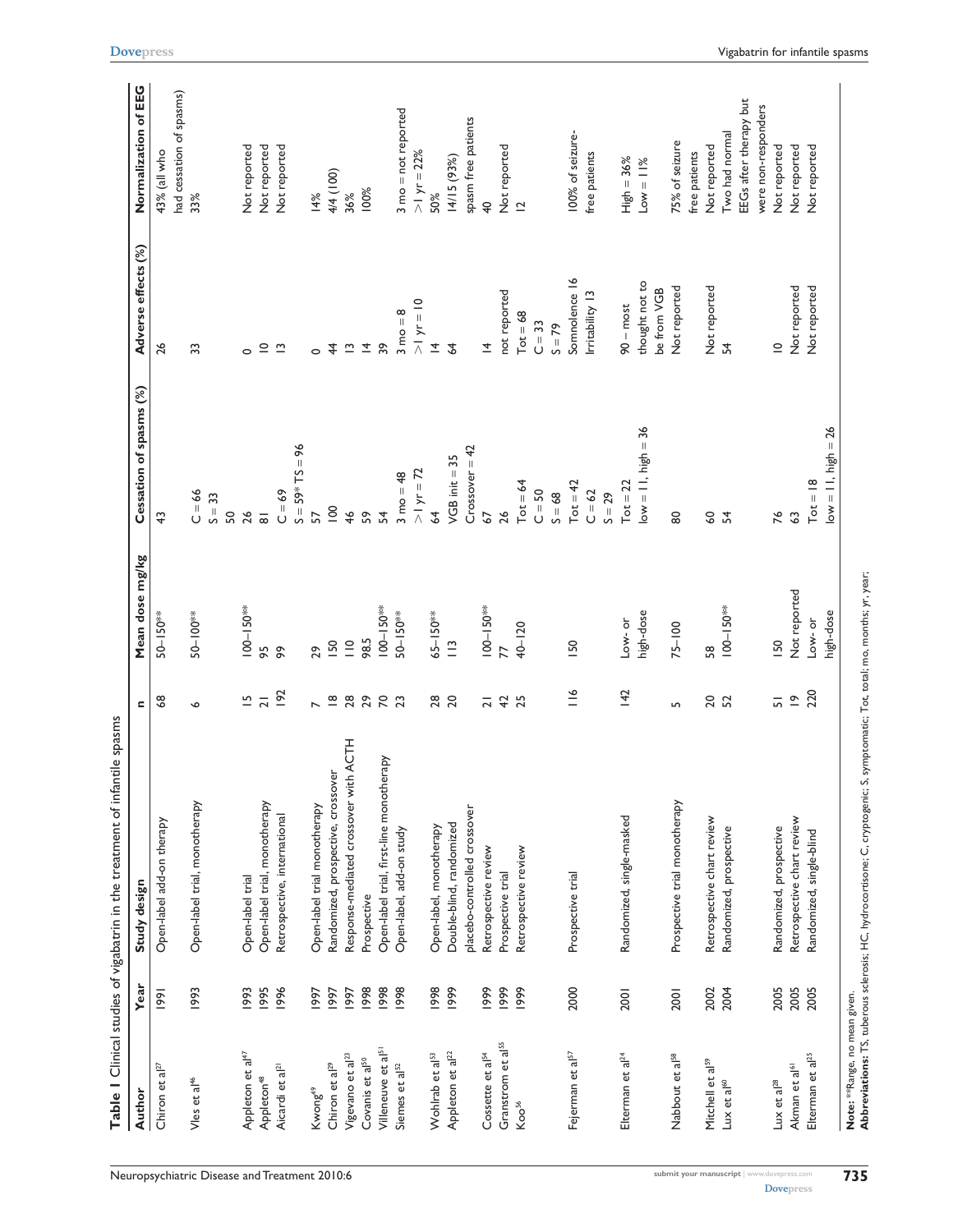|                                |      | Table I Clinical studies of vigabatrin in the treatment of infantile spasms                                                  |                               |                 |                             |                               |                                      |
|--------------------------------|------|------------------------------------------------------------------------------------------------------------------------------|-------------------------------|-----------------|-----------------------------|-------------------------------|--------------------------------------|
| Author                         | Year | Study design                                                                                                                 | $\blacksquare$                | Mean dose mg/kg | Cessation of spasms (%)     | Adverse effects (%)           | Normalization of EEG                 |
| Chiron et al <sup>27</sup>     | 1991 | Open-label add-on therapy                                                                                                    | \$                            | 50-150**        | $\frac{4}{3}$               | 26                            | 43% (all who                         |
| Vles et al <sup>46</sup>       | 1993 | Open-label trial, monotherapy                                                                                                | $\bullet$                     | 50-100**        | $C = 66$<br>$S = 33$<br>SO, | 33                            | had cessation of spasms)<br>33%      |
| Appleton et al <sup>47</sup>   | 1993 | Open-label trial                                                                                                             | $\overline{5}$                | $100 - 150***$  | 26                          | $\circ$                       | Not reported                         |
| Appleton <sup>48</sup>         | 1995 | Open-label trial, monotherapy                                                                                                | $\overline{a}$                | 95              | $\overline{\infty}$         | $\supseteq$                   | Not reported                         |
| Aicardi et al <sup>21</sup>    | 1996 | Retrospective, international                                                                                                 | 192                           | ଚ୍ଚ             | $C = 69$                    | $\tilde{\mathbf{c}}$          | Not reported                         |
|                                |      |                                                                                                                              |                               |                 | $S = 59*TS = 96$            |                               |                                      |
| Kwong <sup>49</sup>            | 1997 | Open-label trial monotherapy                                                                                                 | $\overline{a}$                | 29              | 57                          | $\circ$                       | 14%                                  |
| Chiron et al <sup>29</sup>     | 1997 | Randomized, prospective, crossover                                                                                           | $\mathbf{\underline{\infty}}$ | <b>ISO</b>      | $\overline{0}$              | $\frac{4}{4}$                 | 4/4 (100)                            |
| Vigevano et al <sup>23</sup>   | 1997 | Response-mediated crossover with ACTH                                                                                        |                               | $\frac{1}{10}$  | 46                          | $\tilde{\phantom{a}}$         | 36%                                  |
| Covanis et al <sup>50</sup>    | 1998 | Prospective                                                                                                                  |                               | 98.5            | S9                          | $\overline{4}$                | 100%                                 |
| Villeneuve et al <sup>51</sup> | 1998 | Open-label trial, first-line monotherapy                                                                                     | <b>88883</b>                  | $100 - 150***$  | $\mathcal{L}$               | 39                            |                                      |
| Siemes et al <sup>52</sup>     | 1998 | Open-label, add-on study                                                                                                     |                               | 50-150**        | $3 \text{ mo} = 48$         | $3 \text{ mo} = 8$            | $3 \text{ mo} = \text{not}$ reported |
|                                |      |                                                                                                                              |                               |                 | $>1 yr = 72$                | $>1 yr = 10$                  | $>1 yr = 22%$                        |
| Wohlrab et al <sup>53</sup>    | 1998 | Open-label, monotherapy                                                                                                      |                               | 65-150**        | $\overline{6}$              | $\overline{4}$                | 50%                                  |
| Appleton et al <sup>22</sup>   | 1999 | Double-blind, randomized                                                                                                     | 28<br>20                      | $\frac{1}{2}$   | $VGB$ init $=$ 35           | $\overline{4}$                | 14/15 (93%)                          |
|                                |      | placebo-controlled crossover                                                                                                 |                               |                 | $Crossover = 42$            |                               | spasm free patients                  |
| Cossette et al <sup>54</sup>   | 1999 | Retrospective review                                                                                                         | $\overline{2}$                | $100 - 150**$   | 67                          | $\overline{4}$                | $\overline{\mathcal{L}}$             |
| Granstrom et al <sup>55</sup>  | 1999 | Prospective trial                                                                                                            |                               | 77              | 26                          | not reported                  | Not reported                         |
| Koo <sup>56</sup>              | 1999 | Retrospective review                                                                                                         | 42                            | $40 - 120$      | $Tot = 64$                  | $Tot = 68$                    | $\overline{\mathbf{C}}$              |
|                                |      |                                                                                                                              |                               |                 | $C = 50$                    | $C = 33$                      |                                      |
|                                |      |                                                                                                                              |                               |                 | $S = 68$                    | $S = 79$                      |                                      |
| Fejerman et al <sup>57</sup>   | 2000 | Prospective trial                                                                                                            | $\leq$                        | <b>I</b> 50     | $Tot = 42$                  | Somnolence 16                 | 100% of seizure-                     |
|                                |      |                                                                                                                              |                               |                 | $C = 62$                    | Irritability 13               | free patients                        |
|                                |      |                                                                                                                              |                               |                 | $S = 29$                    |                               |                                      |
| Elterman et al <sup>24</sup>   | 2001 | Randomized, single-masked                                                                                                    | 142                           | Low-or          | $Tot = 22$                  | $90 - most$                   | $High = 36%$                         |
|                                |      |                                                                                                                              |                               | high-dose       | $ow = 11, high = 36$        | thought not to<br>be from VGB | $Low = 11\%$                         |
| Nabbout et al <sup>58</sup>    | 2001 | Prospective trial monotherapy                                                                                                | Б                             | $75 - 100$      | 80                          | Not reported                  | 75% of seizure                       |
|                                |      |                                                                                                                              |                               |                 |                             |                               | free patients                        |
| Mitchell et al <sup>59</sup>   | 2002 | Retrospective chart review                                                                                                   | <b>202</b>                    | 58              | $\mathsf{S}^{\mathsf{O}}$   | Not reported                  | Not reported                         |
| Lux et al <sup>60</sup>        | 2004 | Randomized, prospective                                                                                                      |                               | $100 - 150***$  | 54                          | 54                            | Two had normal                       |
|                                |      |                                                                                                                              |                               |                 |                             |                               | EEGs after therapy but               |
|                                |      |                                                                                                                              |                               |                 |                             |                               | were non-responders                  |
| Lux et al $^{28}$              | 2005 | Randomized, prospective                                                                                                      | $\overline{5}$                | <b>ISO</b>      | 76                          | $\subseteq$                   | Not reported                         |
| Akman et al <sup>61</sup>      | 2005 | Retrospective chart review                                                                                                   | $\tilde{=}$                   | Not reported    | $\mathfrak{S}$              | Not reported                  | Not reported                         |
| Elterman et al <sup>25</sup>   | 2005 | Randomized, single-blind                                                                                                     | 220                           | Low-or          | $Tot = 18$                  | Not reported                  | Not reported                         |
|                                |      |                                                                                                                              |                               | high-dose       | $low = 11$ , high = 26      |                               |                                      |
| Note: **Range, no mean given.  |      | Abbreviations: TS, tuberous sclerosis; HC, hydrocortisone; C, cryptogenic; S, symptomatic; Tot, total; mo, months; yr, year; |                               |                 |                             |                               |                                      |

Neuropsychiatric Disease and Treatment 2010:6 **submit your manuscript** |<www.dovepress.com>

**[Dovepress](www.dovepress.com)**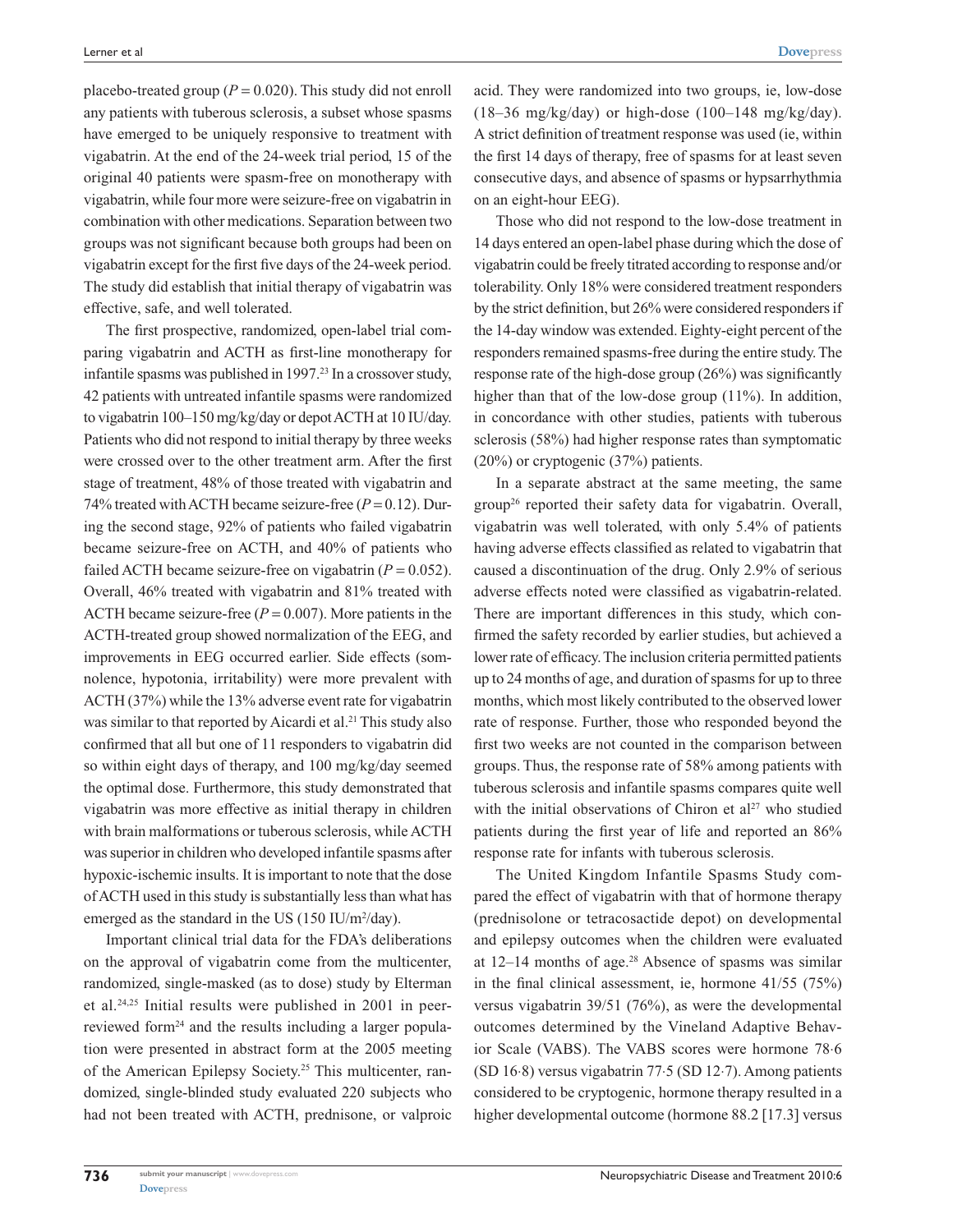placebo-treated group  $(P = 0.020)$ . This study did not enroll any patients with tuberous sclerosis, a subset whose spasms have emerged to be uniquely responsive to treatment with vigabatrin. At the end of the 24-week trial period, 15 of the original 40 patients were spasm-free on monotherapy with vigabatrin, while four more were seizure-free on vigabatrin in combination with other medications. Separation between two groups was not significant because both groups had been on vigabatrin except for the first five days of the 24-week period. The study did establish that initial therapy of vigabatrin was effective, safe, and well tolerated.

The first prospective, randomized, open-label trial comparing vigabatrin and ACTH as first-line monotherapy for infantile spasms was published in 1997.<sup>23</sup> In a crossover study, 42 patients with untreated infantile spasms were randomized to vigabatrin 100–150 mg/kg/day or depot ACTH at 10 IU/day. Patients who did not respond to initial therapy by three weeks were crossed over to the other treatment arm. After the first stage of treatment, 48% of those treated with vigabatrin and 74% treated with ACTH became seizure-free  $(P = 0.12)$ . During the second stage, 92% of patients who failed vigabatrin became seizure-free on ACTH, and 40% of patients who failed ACTH became seizure-free on vigabatrin  $(P = 0.052)$ . Overall, 46% treated with vigabatrin and 81% treated with ACTH became seizure-free  $(P = 0.007)$ . More patients in the ACTH-treated group showed normalization of the EEG, and improvements in EEG occurred earlier. Side effects (somnolence, hypotonia, irritability) were more prevalent with ACTH (37%) while the 13% adverse event rate for vigabatrin was similar to that reported by Aicardi et al.<sup>21</sup> This study also confirmed that all but one of 11 responders to vigabatrin did so within eight days of therapy, and 100 mg/kg/day seemed the optimal dose. Furthermore, this study demonstrated that vigabatrin was more effective as initial therapy in children with brain malformations or tuberous sclerosis, while ACTH was superior in children who developed infantile spasms after hypoxic-ischemic insults. It is important to note that the dose of ACTH used in this study is substantially less than what has emerged as the standard in the US  $(150 \text{ IU/m}^2/\text{day})$ .

Important clinical trial data for the FDA's deliberations on the approval of vigabatrin come from the multicenter, randomized, single-masked (as to dose) study by Elterman et al.24,25 Initial results were published in 2001 in peerreviewed form<sup>24</sup> and the results including a larger population were presented in abstract form at the 2005 meeting of the American Epilepsy Society.<sup>25</sup> This multicenter, randomized, single-blinded study evaluated 220 subjects who had not been treated with ACTH, prednisone, or valproic acid. They were randomized into two groups, ie, low-dose  $(18-36 \text{ mg/kg/day})$  or high-dose  $(100-148 \text{ mg/kg/day})$ . A strict definition of treatment response was used (ie, within the first 14 days of therapy, free of spasms for at least seven consecutive days, and absence of spasms or hypsarrhythmia on an eight-hour EEG).

Those who did not respond to the low-dose treatment in 14 days entered an open-label phase during which the dose of vigabatrin could be freely titrated according to response and/or tolerability. Only 18% were considered treatment responders by the strict definition, but 26% were considered responders if the 14-day window was extended. Eighty-eight percent of the responders remained spasms-free during the entire study. The response rate of the high-dose group (26%) was significantly higher than that of the low-dose group (11%). In addition, in concordance with other studies, patients with tuberous sclerosis (58%) had higher response rates than symptomatic (20%) or cryptogenic (37%) patients.

In a separate abstract at the same meeting, the same group26 reported their safety data for vigabatrin. Overall, vigabatrin was well tolerated, with only 5.4% of patients having adverse effects classified as related to vigabatrin that caused a discontinuation of the drug. Only 2.9% of serious adverse effects noted were classified as vigabatrin-related. There are important differences in this study, which confirmed the safety recorded by earlier studies, but achieved a lower rate of efficacy. The inclusion criteria permitted patients up to 24 months of age, and duration of spasms for up to three months, which most likely contributed to the observed lower rate of response. Further, those who responded beyond the first two weeks are not counted in the comparison between groups. Thus, the response rate of 58% among patients with tuberous sclerosis and infantile spasms compares quite well with the initial observations of Chiron et al<sup>27</sup> who studied patients during the first year of life and reported an 86% response rate for infants with tuberous sclerosis.

The United Kingdom Infantile Spasms Study compared the effect of vigabatrin with that of hormone therapy (prednisolone or tetracosactide depot) on developmental and epilepsy outcomes when the children were evaluated at  $12-14$  months of age.<sup>28</sup> Absence of spasms was similar in the final clinical assessment, ie, hormone 41/55 (75%) versus vigabatrin 39/51 (76%), as were the developmental outcomes determined by the Vineland Adaptive Behavior Scale (VABS). The VABS scores were hormone 78⋅6 (SD 16⋅8) versus vigabatrin 77⋅5 (SD 12⋅7). Among patients considered to be cryptogenic, hormone therapy resulted in a higher developmental outcome (hormone 88.2 [17.3] versus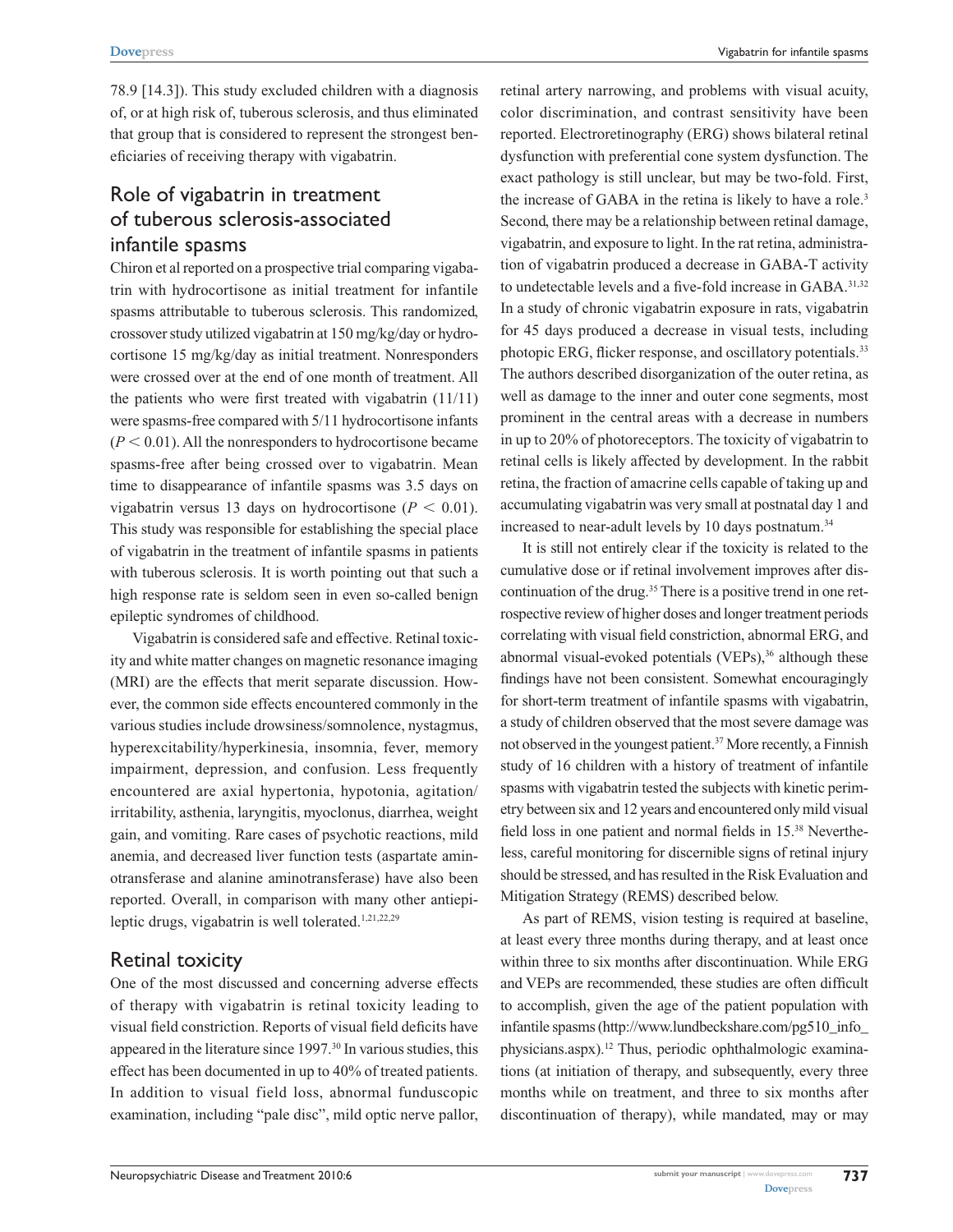78.9 [14.3]). This study excluded children with a diagnosis of, or at high risk of, tuberous sclerosis, and thus eliminated that group that is considered to represent the strongest beneficiaries of receiving therapy with vigabatrin.

# Role of vigabatrin in treatment of tuberous sclerosis-associated infantile spasms

Chiron et al reported on a prospective trial comparing vigabatrin with hydrocortisone as initial treatment for infantile spasms attributable to tuberous sclerosis. This randomized, crossover study utilized vigabatrin at 150 mg/kg/day or hydrocortisone 15 mg/kg/day as initial treatment. Nonresponders were crossed over at the end of one month of treatment. All the patients who were first treated with vigabatrin (11/11) were spasms-free compared with 5/11 hydrocortisone infants  $(P < 0.01)$ . All the nonresponders to hydrocortisone became spasms-free after being crossed over to vigabatrin. Mean time to disappearance of infantile spasms was 3.5 days on vigabatrin versus 13 days on hydrocortisone ( $P < 0.01$ ). This study was responsible for establishing the special place of vigabatrin in the treatment of infantile spasms in patients with tuberous sclerosis. It is worth pointing out that such a high response rate is seldom seen in even so-called benign epileptic syndromes of childhood.

Vigabatrin is considered safe and effective. Retinal toxicity and white matter changes on magnetic resonance imaging (MRI) are the effects that merit separate discussion. However, the common side effects encountered commonly in the various studies include drowsiness/somnolence, nystagmus, hyperexcitability/hyperkinesia, insomnia, fever, memory impairment, depression, and confusion. Less frequently encountered are axial hypertonia, hypotonia, agitation/ irritability, asthenia, laryngitis, myoclonus, diarrhea, weight gain, and vomiting. Rare cases of psychotic reactions, mild anemia, and decreased liver function tests (aspartate aminotransferase and alanine aminotransferase) have also been reported. Overall, in comparison with many other antiepileptic drugs, vigabatrin is well tolerated. $1,21,22,29$ 

## Retinal toxicity

One of the most discussed and concerning adverse effects of therapy with vigabatrin is retinal toxicity leading to visual field constriction. Reports of visual field deficits have appeared in the literature since 1997.<sup>30</sup> In various studies, this effect has been documented in up to 40% of treated patients. In addition to visual field loss, abnormal funduscopic examination, including "pale disc", mild optic nerve pallor, retinal artery narrowing, and problems with visual acuity, color discrimination, and contrast sensitivity have been reported. Electroretinography (ERG) shows bilateral retinal dysfunction with preferential cone system dysfunction. The exact pathology is still unclear, but may be two-fold. First, the increase of GABA in the retina is likely to have a role.<sup>3</sup> Second, there may be a relationship between retinal damage, vigabatrin, and exposure to light. In the rat retina, administration of vigabatrin produced a decrease in GABA-T activity to undetectable levels and a five-fold increase in GABA.<sup>31,32</sup> In a study of chronic vigabatrin exposure in rats, vigabatrin for 45 days produced a decrease in visual tests, including photopic ERG, flicker response, and oscillatory potentials.<sup>33</sup> The authors described disorganization of the outer retina, as well as damage to the inner and outer cone segments, most prominent in the central areas with a decrease in numbers in up to 20% of photoreceptors. The toxicity of vigabatrin to retinal cells is likely affected by development. In the rabbit retina, the fraction of amacrine cells capable of taking up and accumulating vigabatrin was very small at postnatal day 1 and increased to near-adult levels by 10 days postnatum.<sup>34</sup>

It is still not entirely clear if the toxicity is related to the cumulative dose or if retinal involvement improves after discontinuation of the drug.<sup>35</sup> There is a positive trend in one retrospective review of higher doses and longer treatment periods correlating with visual field constriction, abnormal ERG, and abnormal visual-evoked potentials (VEPs),<sup>36</sup> although these findings have not been consistent. Somewhat encouragingly for short-term treatment of infantile spasms with vigabatrin, a study of children observed that the most severe damage was not observed in the youngest patient.37 More recently, a Finnish study of 16 children with a history of treatment of infantile spasms with vigabatrin tested the subjects with kinetic perimetry between six and 12 years and encountered only mild visual field loss in one patient and normal fields in 15.38 Nevertheless, careful monitoring for discernible signs of retinal injury should be stressed, and has resulted in the Risk Evaluation and Mitigation Strategy (REMS) described below.

As part of REMS, vision testing is required at baseline, at least every three months during therapy, and at least once within three to six months after discontinuation. While ERG and VEPs are recommended, these studies are often difficult to accomplish, given the age of the patient population with infantile spasms [\(http://www.lundbeckshare.com/pg510\\_info\\_](http://www.lundbeckshare.com/pg510_info_�physicians.aspx) [physicians.aspx\)](http://www.lundbeckshare.com/pg510_info_�physicians.aspx).12 Thus, periodic ophthalmologic examinations (at initiation of therapy, and subsequently, every three months while on treatment, and three to six months after discontinuation of therapy), while mandated, may or may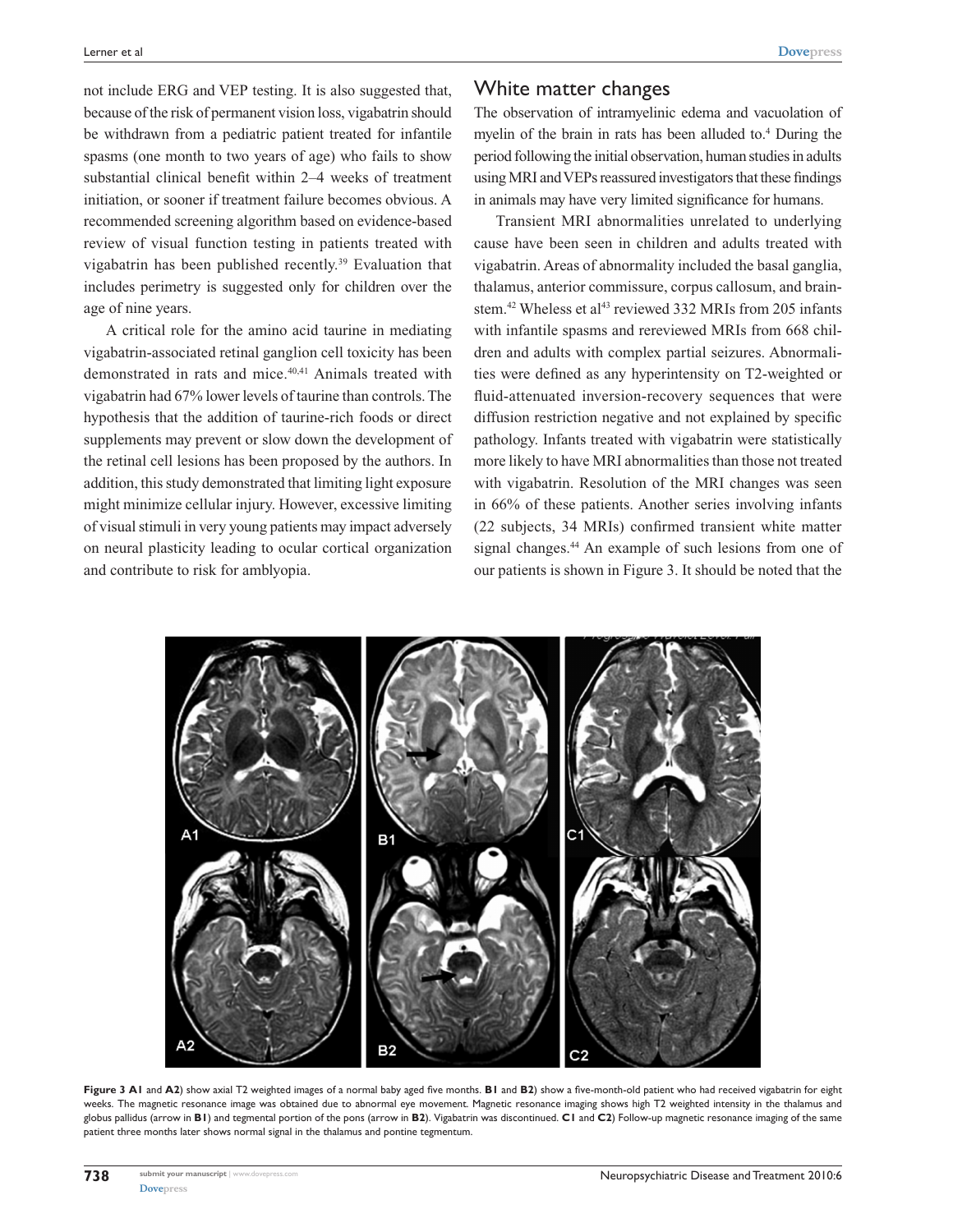not include ERG and VEP testing. It is also suggested that, because of the risk of permanent vision loss, vigabatrin should be withdrawn from a pediatric patient treated for infantile spasms (one month to two years of age) who fails to show substantial clinical benefit within 2–4 weeks of treatment initiation, or sooner if treatment failure becomes obvious. A recommended screening algorithm based on evidence-based review of visual function testing in patients treated with vigabatrin has been published recently.39 Evaluation that includes perimetry is suggested only for children over the age of nine years.

A critical role for the amino acid taurine in mediating vigabatrin-associated retinal ganglion cell toxicity has been demonstrated in rats and mice.<sup>40,41</sup> Animals treated with vigabatrin had 67% lower levels of taurine than controls. The hypothesis that the addition of taurine-rich foods or direct supplements may prevent or slow down the development of the retinal cell lesions has been proposed by the authors. In addition, this study demonstrated that limiting light exposure might minimize cellular injury. However, excessive limiting of visual stimuli in very young patients may impact adversely on neural plasticity leading to ocular cortical organization and contribute to risk for amblyopia.

#### White matter changes

The observation of intramyelinic edema and vacuolation of myelin of the brain in rats has been alluded to.4 During the period following the initial observation, human studies in adults using MRI and VEPs reassured investigators that these findings in animals may have very limited significance for humans.

Transient MRI abnormalities unrelated to underlying cause have been seen in children and adults treated with vigabatrin. Areas of abnormality included the basal ganglia, thalamus, anterior commissure, corpus callosum, and brainstem.<sup>42</sup> Wheless et al<sup>43</sup> reviewed 332 MRIs from 205 infants with infantile spasms and rereviewed MRIs from 668 children and adults with complex partial seizures. Abnormalities were defined as any hyperintensity on T2-weighted or fluid-attenuated inversion-recovery sequences that were diffusion restriction negative and not explained by specific pathology. Infants treated with vigabatrin were statistically more likely to have MRI abnormalities than those not treated with vigabatrin. Resolution of the MRI changes was seen in 66% of these patients. Another series involving infants (22 subjects, 34 MRIs) confirmed transient white matter signal changes.<sup>44</sup> An example of such lesions from one of our patients is shown in Figure 3. It should be noted that the



**Figure 3 A1** and **A2**) show axial T2 weighted images of a normal baby aged five months. **B1** and **B2**) show a five-month-old patient who had received vigabatrin for eight weeks. The magnetic resonance image was obtained due to abnormal eye movement. Magnetic resonance imaging shows high T2 weighted intensity in the thalamus and globus pallidus (arrow in **B1**) and tegmental portion of the pons (arrow in **B2**). Vigabatrin was discontinued. **C1** and **C2**) Follow-up magnetic resonance imaging of the same patient three months later shows normal signal in the thalamus and pontine tegmentum.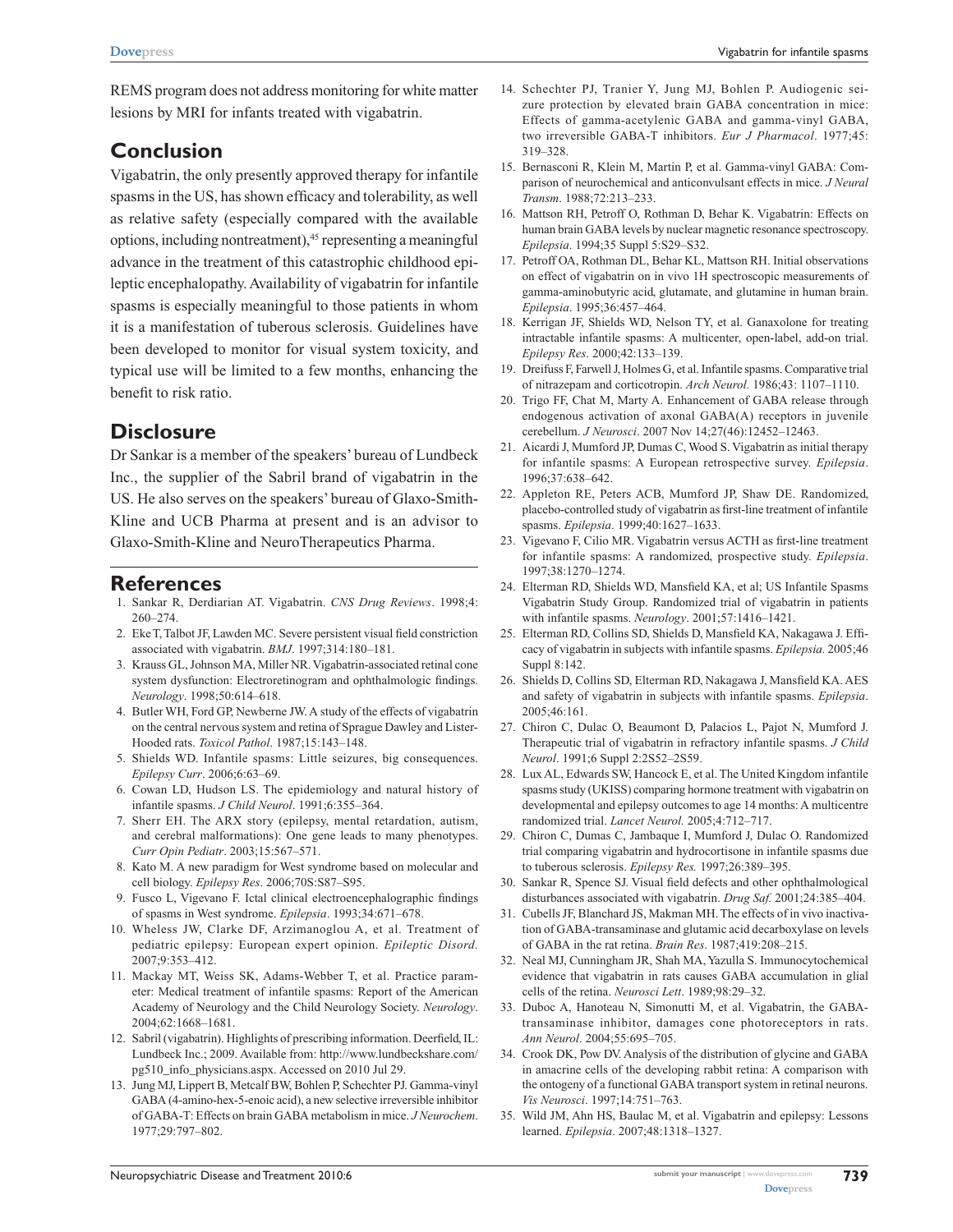REMS program does not address monitoring for white matter lesions by MRI for infants treated with vigabatrin.

### **Conclusion**

Vigabatrin, the only presently approved therapy for infantile spasms in the US, has shown efficacy and tolerability, as well as relative safety (especially compared with the available options, including nontreatment),45 representing a meaningful advance in the treatment of this catastrophic childhood epileptic encephalopathy. Availability of vigabatrin for infantile spasms is especially meaningful to those patients in whom it is a manifestation of tuberous sclerosis. Guidelines have been developed to monitor for visual system toxicity, and typical use will be limited to a few months, enhancing the benefit to risk ratio.

### **Disclosure**

Dr Sankar is a member of the speakers' bureau of Lundbeck Inc., the supplier of the Sabril brand of vigabatrin in the US. He also serves on the speakers' bureau of Glaxo-Smith-Kline and UCB Pharma at present and is an advisor to Glaxo-Smith-Kline and NeuroTherapeutics Pharma.

#### **References**

- 1. Sankar R, Derdiarian AT. Vigabatrin. *CNS Drug Reviews*. 1998;4: 260–274.
- 2. Eke T, Talbot JF, Lawden MC. Severe persistent visual field constriction associated with vigabatrin. *BMJ*. 1997;314:180–181.
- 3. Krauss GL, Johnson MA, Miller NR. Vigabatrin-associated retinal cone system dysfunction: Electroretinogram and ophthalmologic findings. *Neurology*. 1998;50:614–618.
- 4. Butler WH, Ford GP, Newberne JW. A study of the effects of vigabatrin on the central nervous system and retina of Sprague Dawley and Lister-Hooded rats. *Toxicol Pathol*. 1987;15:143–148.
- 5. Shields WD. Infantile spasms: Little seizures, big consequences. *Epilepsy Curr*. 2006;6:63–69.
- 6. Cowan LD, Hudson LS. The epidemiology and natural history of infantile spasms. *J Child Neurol*. 1991;6:355–364.
- 7. Sherr EH. The ARX story (epilepsy, mental retardation, autism, and cerebral malformations): One gene leads to many phenotypes. *Curr Opin Pediatr*. 2003;15:567–571.
- 8. Kato M. A new paradigm for West syndrome based on molecular and cell biology. *Epilepsy Res*. 2006;70S:S87–S95.
- 9. Fusco L, Vigevano F. Ictal clinical electroencephalographic findings of spasms in West syndrome. *Epilepsia*. 1993;34:671–678.
- 10. Wheless JW, Clarke DF, Arzimanoglou A, et al. Treatment of pediatric epilepsy: European expert opinion. *Epileptic Disord.* 2007;9:353–412.
- 11. Mackay MT, Weiss SK, Adams-Webber T, et al. Practice parameter: Medical treatment of infantile spasms: Report of the American Academy of Neurology and the Child Neurology Society. *Neurology*. 2004;62:1668–1681.
- 12. Sabril (vigabatrin). Highlights of prescribing information. Deerfield, IL: Lundbeck Inc.; 2009. Available from: [http://www.lundbeckshare.com/](http://www.lundbeckshare.com/pg510_info_physicians.aspx.) [pg510\\_info\\_physicians.aspx.](http://www.lundbeckshare.com/pg510_info_physicians.aspx.) Accessed on 2010 Jul 29.
- 13. Jung MJ, Lippert B, Metcalf BW, Bohlen P, Schechter PJ. Gamma-vinyl GABA (4-amino-hex-5-enoic acid), a new selective irreversible inhibitor of GABA-T: Effects on brain GABA metabolism in mice. *J Neurochem*. 1977;29:797–802.
- 14. Schechter PJ, Tranier Y, Jung MJ, Bohlen P. Audiogenic seizure protection by elevated brain GABA concentration in mice: Effects of gamma-acetylenic GABA and gamma-vinyl GABA, two irreversible GABA-T inhibitors. *Eur J Pharmacol*. 1977;45: 319–328.
- 15. Bernasconi R, Klein M, Martin P, et al. Gamma-vinyl GABA: Comparison of neurochemical and anticonvulsant effects in mice. *J Neural Transm*. 1988;72:213–233.
- 16. Mattson RH, Petroff O, Rothman D, Behar K. Vigabatrin: Effects on human brain GABA levels by nuclear magnetic resonance spectroscopy. *Epilepsia*. 1994;35 Suppl 5:S29–S32.
- 17. Petroff OA, Rothman DL, Behar KL, Mattson RH. Initial observations on effect of vigabatrin on in vivo 1H spectroscopic measurements of gamma-aminobutyric acid, glutamate, and glutamine in human brain. *Epilepsia*. 1995;36:457–464.
- 18. Kerrigan JF, Shields WD, Nelson TY, et al. Ganaxolone for treating intractable infantile spasms: A multicenter, open-label, add-on trial. *Epilepsy Res*. 2000;42:133–139.
- 19. Dreifuss F, Farwell J, Holmes G, et al. Infantile spasms. Comparative trial of nitrazepam and corticotropin. *Arch Neurol.* 1986;43: 1107–1110.
- 20. Trigo FF, Chat M, Marty A. Enhancement of GABA release through endogenous activation of axonal GABA(A) receptors in juvenile cerebellum. *J Neurosci*. 2007 Nov 14;27(46):12452–12463.
- 21. Aicardi J, Mumford JP, Dumas C, Wood S. Vigabatrin as initial therapy for infantile spasms: A European retrospective survey. *Epilepsia*. 1996;37:638–642.
- 22. Appleton RE, Peters ACB, Mumford JP, Shaw DE. Randomized, placebo-controlled study of vigabatrin as first-line treatment of infantile spasms. *Epilepsia*. 1999;40:1627–1633.
- 23. Vigevano F, Cilio MR. Vigabatrin versus ACTH as first-line treatment for infantile spasms: A randomized, prospective study. *Epilepsia*. 1997;38:1270–1274.
- 24. Elterman RD, Shields WD, Mansfield KA, et al; US Infantile Spasms Vigabatrin Study Group. Randomized trial of vigabatrin in patients with infantile spasms. *Neurology*. 2001;57:1416–1421.
- 25. Elterman RD, Collins SD, Shields D, Mansfield KA, Nakagawa J. Efficacy of vigabatrin in subjects with infantile spasms. *Epilepsia.* 2005;46 Suppl 8:142.
- 26. Shields D, Collins SD, Elterman RD, Nakagawa J, Mansfield KA. AES and safety of vigabatrin in subjects with infantile spasms. *Epilepsia*. 2005;46:161.
- 27. Chiron C, Dulac O, Beaumont D, Palacios L, Pajot N, Mumford J. Therapeutic trial of vigabatrin in refractory infantile spasms. *J Child Neurol*. 1991;6 Suppl 2:2S52–2S59.
- 28. Lux AL, Edwards SW, Hancock E, et al. The United Kingdom infantile spasms study (UKISS) comparing hormone treatment with vigabatrin on developmental and epilepsy outcomes to age 14 months: A multicentre randomized trial. *Lancet Neurol.* 2005;4:712–717.
- 29. Chiron C, Dumas C, Jambaque I, Mumford J, Dulac O. Randomized trial comparing vigabatrin and hydrocortisone in infantile spasms due to tuberous sclerosis. *Epilepsy Res.* 1997;26:389–395.
- 30. Sankar R, Spence SJ. Visual field defects and other ophthalmological disturbances associated with vigabatrin. *Drug Saf.* 2001;24:385–404.
- 31. Cubells JF, Blanchard JS, Makman MH. The effects of in vivo inactivation of GABA-transaminase and glutamic acid decarboxylase on levels of GABA in the rat retina. *Brain Res*. 1987;419:208–215.
- 32. Neal MJ, Cunningham JR, Shah MA, Yazulla S. Immunocytochemical evidence that vigabatrin in rats causes GABA accumulation in glial cells of the retina. *Neurosci Lett*. 1989;98:29–32.
- 33. Duboc A, Hanoteau N, Simonutti M, et al. Vigabatrin, the GABAtransaminase inhibitor, damages cone photoreceptors in rats. *Ann Neurol*. 2004;55:695–705.
- 34. Crook DK, Pow DV. Analysis of the distribution of glycine and GABA in amacrine cells of the developing rabbit retina: A comparison with the ontogeny of a functional GABA transport system in retinal neurons. *Vis Neurosci*. 1997;14:751–763.
- 35. Wild JM, Ahn HS, Baulac M, et al. Vigabatrin and epilepsy: Lessons learned. *Epilepsia*. 2007;48:1318–1327.